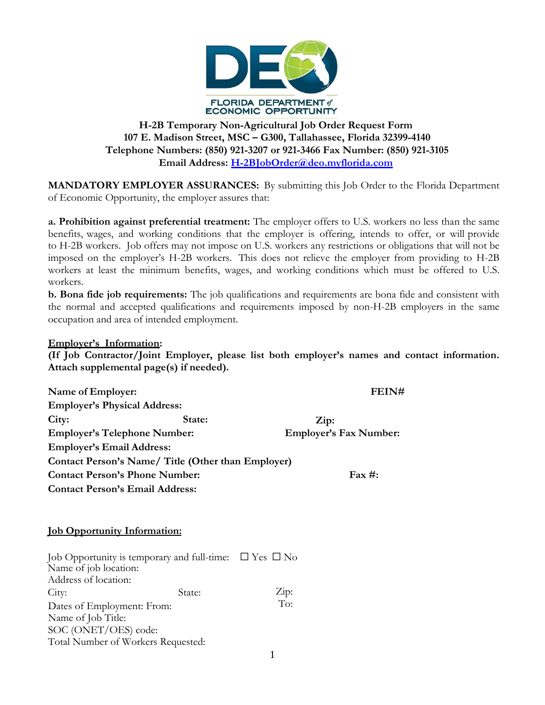

# **H-2B Temporary Non-Agricultural Job Order Request Form 107 E. Madison Street, MSC – G300, Tallahassee, Florida 32399-4140 Telephone Numbers: (850) 921-3207 or 921-3466 Fax Number: (850) 921-3105 Email Address[: H-2BJobOrder@deo.myflorida.com](mailto:H-2BJobOrder@deo.myflorida.com)**

**MANDATORY EMPLOYER ASSURANCES:** By submitting this Job Order to the Florida Department of Economic Opportunity, the employer assures that:

**a. Prohibition against preferential treatment:** The employer offers to U.S. workers no less than the same benefits, wages, and working conditions that the employer is offering, intends to offer, or will provide to H-2B workers. Job offers may not impose on U.S. workers any restrictions or obligations that will not be imposed on the employer's H-2B workers. This does not relieve the employer from providing to H-2B workers at least the minimum benefits, wages, and working conditions which must be offered to U.S. workers.

**b. Bona fide job requirements:** The job qualifications and requirements are bona fide and consistent with the normal and accepted qualifications and requirements imposed by non-H-2B employers in the same occupation and area of intended employment.

## **Employer's Information:**

**(If Job Contractor/Joint Employer, please list both employer's names and contact information. Attach supplemental page(s) if needed).**

| Name of Employer:                                  | FEIN#  |                               |
|----------------------------------------------------|--------|-------------------------------|
| <b>Employer's Physical Address:</b>                |        |                               |
| City:                                              | State: | $\mathbf{Zip:}$               |
| <b>Employer's Telephone Number:</b>                |        | <b>Employer's Fax Number:</b> |
| <b>Employer's Email Address:</b>                   |        |                               |
| Contact Person's Name/ Title (Other than Employer) |        |                               |
| <b>Contact Person's Phone Number:</b>              |        | $\text{Fax}\,\text{\#}:$      |
| <b>Contact Person's Email Address:</b>             |        |                               |

## **Job Opportunity Information:**

| Job Opportunity is temporary and full-time: $\Box$ Yes $\Box$ No |        |                       |  |  |  |
|------------------------------------------------------------------|--------|-----------------------|--|--|--|
| Name of job location:                                            |        |                       |  |  |  |
| Address of location:                                             |        |                       |  |  |  |
| City:                                                            | State: | $\operatorname{Zip:}$ |  |  |  |
| Dates of Employment: From:                                       | To:    |                       |  |  |  |
| Name of Job Title:                                               |        |                       |  |  |  |
| SOC (ONET/OES) code:                                             |        |                       |  |  |  |
| Total Number of Workers Requested:                               |        |                       |  |  |  |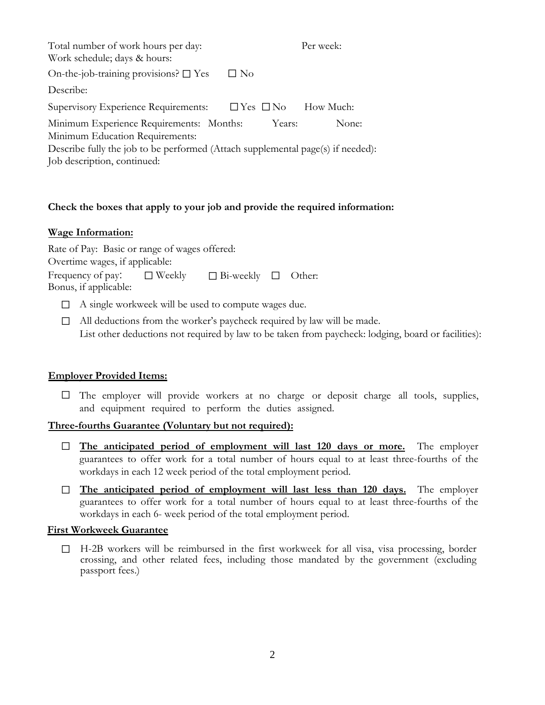| Total number of work hours per day:<br>Work schedule; days & hours:                                                                                                                           |                      |        | Per week: |
|-----------------------------------------------------------------------------------------------------------------------------------------------------------------------------------------------|----------------------|--------|-----------|
| On-the-job-training provisions? $\square$ Yes                                                                                                                                                 | $\Box$ No            |        |           |
| Describe:                                                                                                                                                                                     |                      |        |           |
| Supervisory Experience Requirements:                                                                                                                                                          | $\Box$ Yes $\Box$ No |        | How Much: |
| Minimum Experience Requirements: Months:<br>Minimum Education Requirements:<br>Describe fully the job to be performed (Attach supplemental page(s) if needed):<br>Job description, continued: |                      | Years: | None:     |

## **Check the boxes that apply to your job and provide the required information:**

#### **Wage Information:**

Rate of Pay: Basic or range of wages offered:

Overtime wages, if applicable:

| Frequency of pay:     | $\Box$ Weekly | $\Box$ Bi-weekly $\Box$ Other: |  |
|-----------------------|---------------|--------------------------------|--|
| Bonus, if applicable: |               |                                |  |

- □ A single workweek will be used to compute wages due.
- □ All deductions from the worker's paycheck required by law will be made. List other deductions not required by law to be taken from paycheck: lodging, board or facilities):

## **Employer Provided Items:**

 $\Box$  The employer will provide workers at no charge or deposit charge all tools, supplies, and equipment required to perform the duties assigned.

#### **Three-fourths Guarantee (Voluntary but not required):**

- □ The anticipated period of employment will last 120 days or more. The employer guarantees to offer work for a total number of hours equal to at least three-fourths of the workdays in each 12 week period of the total employment period.
- ☐ **The anticipated period of employment will last less than 120 days.** The employer guarantees to offer work for a total number of hours equal to at least three-fourths of the workdays in each 6- week period of the total employment period.

#### **First Workweek Guarantee**

 $\Box$  H-2B workers will be reimbursed in the first workweek for all visa, visa processing, border crossing, and other related fees, including those mandated by the government (excluding passport fees.)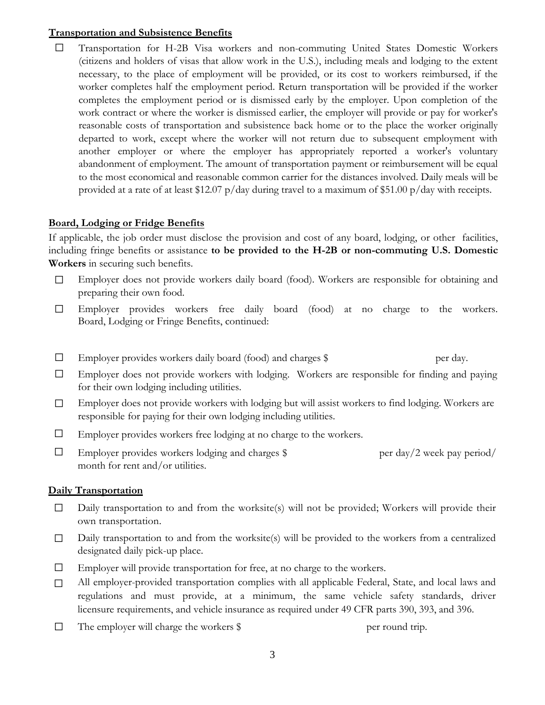#### **Transportation and Subsistence Benefits**

☐ Transportation for H-2B Visa workers and non-commuting United States Domestic Workers (citizens and holders of visas that allow work in the U.S.), including meals and lodging to the extent necessary, to the place of employment will be provided, or its cost to workers reimbursed, if the worker completes half the employment period. Return transportation will be provided if the worker completes the employment period or is dismissed early by the employer. Upon completion of the work contract or where the worker is dismissed earlier, the employer will provide or pay for worker's reasonable costs of transportation and subsistence back home or to the place the worker originally departed to work, except where the worker will not return due to subsequent employment with another employer or where the employer has appropriately reported a worker's voluntary abandonment of employment. The amount of transportation payment or reimbursement will be equal to the most economical and reasonable common carrier for the distances involved. Daily meals will be provided at a rate of at least \$12.07 p/day during travel to a maximum of \$51.00 p/day with receipts.

#### **Board, Lodging or Fridge Benefits**

If applicable, the job order must disclose the provision and cost of any board, lodging, or other facilities, including fringe benefits or assistance **to be provided to the H-2B or non-commuting U.S. Domestic Workers** in securing such benefits.

- ☐ Employer does not provide workers daily board (food). Workers are responsible for obtaining and preparing their own food.
- Employer provides workers free daily board (food) at no charge to the workers. Board, Lodging or Fringe Benefits, continued:  $\Box$
- ☐ Employer provides workers daily board (food) and charges \$ per day.
- ☐ Employer does not provide workers with lodging. Workers are responsible for finding and paying for their own lodging including utilities.
- ☐ Employer does not provide workers with lodging but will assist workers to find lodging. Workers are responsible for paying for their own lodging including utilities.
- $\Box$  Employer provides workers free lodging at no charge to the workers.
- Employer provides workers lodging and charges  $\frac{1}{2}$  per day/2 week pay period/ month for rent and/or utilities. ☐

#### **Daily Transportation**

- Daily transportation to and from the worksite(s) will not be provided; Workers will provide their own transportation. ☐
- ☐ Daily transportation to and from the worksite(s) will be provided to the workers from a centralized designated daily pick-up place.
- ☐ Employer will provide transportation for free, at no charge to the workers.
- ☐ All employer-provided transportation complies with all applicable Federal, State, and local laws and regulations and must provide, at a minimum, the same vehicle safety standards, driver licensure requirements, and vehicle insurance as required under 49 CFR parts 390, 393, and 396.
- $\Box$ The employer will charge the workers  $\frac{1}{2}$  per round trip.